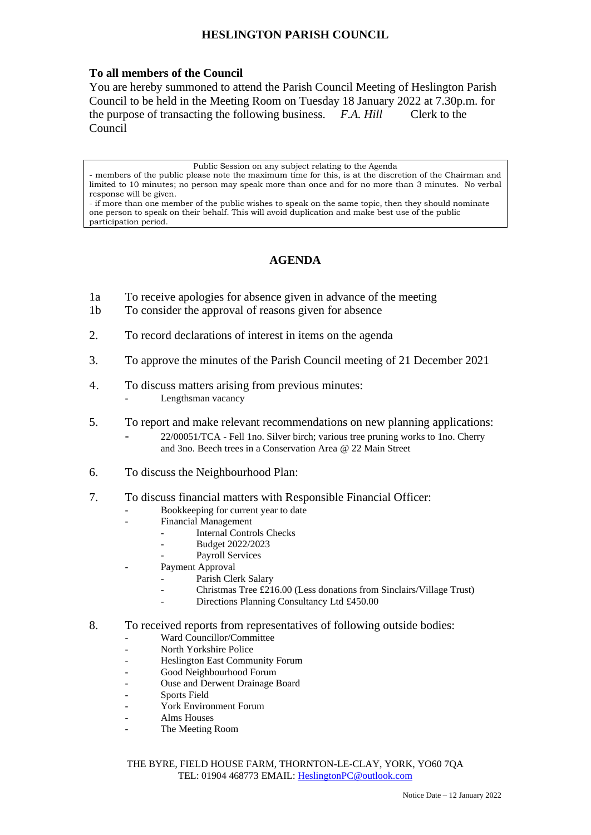## **HESLINGTON PARISH COUNCIL**

## **To all members of the Council**

You are hereby summoned to attend the Parish Council Meeting of Heslington Parish Council to be held in the Meeting Room on Tuesday 18 January 2022 at 7.30p.m. for the purpose of transacting the following business. *F.A. Hill* Clerk to the Council

Public Session on any subject relating to the Agenda

## **AGENDA**

- 1a To receive apologies for absence given in advance of the meeting
- 1b To consider the approval of reasons given for absence
- 2. To record declarations of interest in items on the agenda
- 3. To approve the minutes of the Parish Council meeting of 21 December 2021
- 4. To discuss matters arising from previous minutes: Lengthsman vacancy
- 5. To report and make relevant recommendations on new planning applications:
	- 22/00051/TCA Fell 1no. Silver birch; various tree pruning works to 1no. Cherry and 3no. Beech trees in a Conservation Area @ 22 Main Street
- 6. To discuss the Neighbourhood Plan:
- 7. To discuss financial matters with Responsible Financial Officer:
	- Bookkeeping for current year to date
	- Financial Management
		- Internal Controls Checks
		- Budget 2022/2023
		- Payroll Services
	- Payment Approval
		- Parish Clerk Salary
		- Christmas Tree £216.00 (Less donations from Sinclairs/Village Trust)
		- Directions Planning Consultancy Ltd £450.00

## 8. To received reports from representatives of following outside bodies:

- Ward Councillor/Committee
- North Yorkshire Police
- Heslington East Community Forum
- Good Neighbourhood Forum
- Ouse and Derwent Drainage Board
- Sports Field
- York Environment Forum
- Alms Houses
- The Meeting Room

THE BYRE, FIELD HOUSE FARM, THORNTON-LE-CLAY, YORK, YO60 7QA TEL: 01904 468773 EMAIL: [HeslingtonPC@outlook.com](mailto:HeslingtonPC@outlook.com)

<sup>-</sup> members of the public please note the maximum time for this, is at the discretion of the Chairman and limited to 10 minutes; no person may speak more than once and for no more than 3 minutes. No verbal response will be given.

<sup>-</sup> if more than one member of the public wishes to speak on the same topic, then they should nominate one person to speak on their behalf. This will avoid duplication and make best use of the public participation period.